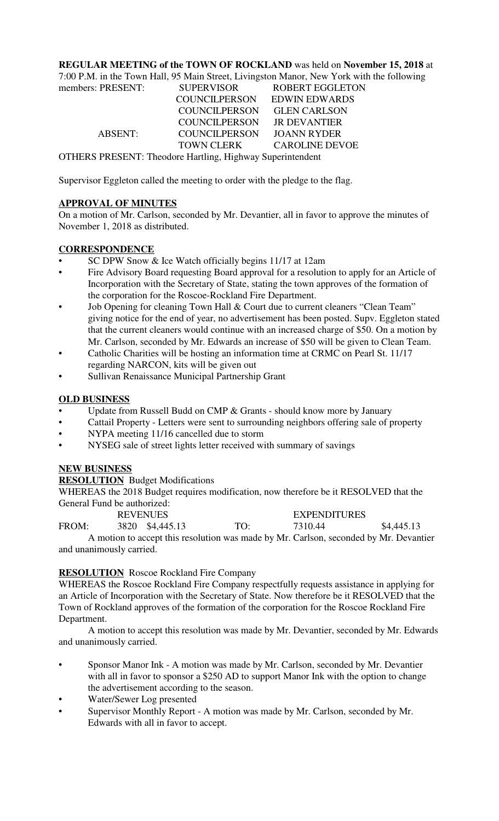# **REGULAR MEETING of the TOWN OF ROCKLAND** was held on **November 15, 2018** at

7:00 P.M. in the Town Hall, 95 Main Street, Livingston Manor, New York with the following

| <b>SUPERVISOR</b>                                         | <b>ROBERT EGGLETON</b> |  |  |  |  |  |
|-----------------------------------------------------------|------------------------|--|--|--|--|--|
| <b>COUNCILPERSON</b>                                      | <b>EDWIN EDWARDS</b>   |  |  |  |  |  |
| <b>COUNCILPERSON</b>                                      | <b>GLEN CARLSON</b>    |  |  |  |  |  |
| <b>COUNCILPERSON</b>                                      | <b>JR DEVANTIER</b>    |  |  |  |  |  |
| <b>COUNCILPERSON</b>                                      | <b>JOANN RYDER</b>     |  |  |  |  |  |
| <b>TOWN CLERK</b>                                         | <b>CAROLINE DEVOE</b>  |  |  |  |  |  |
| OTHERS PRESENT: Theodore Hartling, Highway Superintendent |                        |  |  |  |  |  |
|                                                           |                        |  |  |  |  |  |

Supervisor Eggleton called the meeting to order with the pledge to the flag.

### **APPROVAL OF MINUTES**

On a motion of Mr. Carlson, seconded by Mr. Devantier, all in favor to approve the minutes of November 1, 2018 as distributed.

### **CORRESPONDENCE**

- SC DPW Snow & Ice Watch officially begins 11/17 at 12am
- Fire Advisory Board requesting Board approval for a resolution to apply for an Article of Incorporation with the Secretary of State, stating the town approves of the formation of the corporation for the Roscoe-Rockland Fire Department.
- Job Opening for cleaning Town Hall & Court due to current cleaners "Clean Team" giving notice for the end of year, no advertisement has been posted. Supv. Eggleton stated that the current cleaners would continue with an increased charge of \$50. On a motion by Mr. Carlson, seconded by Mr. Edwards an increase of \$50 will be given to Clean Team.
- Catholic Charities will be hosting an information time at CRMC on Pearl St. 11/17 regarding NARCON, kits will be given out
- Sullivan Renaissance Municipal Partnership Grant

# **OLD BUSINESS**

- Update from Russell Budd on CMP & Grants should know more by January
- Cattail Property Letters were sent to surrounding neighbors offering sale of property
- NYPA meeting 11/16 cancelled due to storm
- NYSEG sale of street lights letter received with summary of savings

### **NEW BUSINESS**

### **RESOLUTION** Budget Modifications

WHEREAS the 2018 Budget requires modification, now therefore be it RESOLVED that the General Fund be authorized:

|                          | <b>REVENUES</b> |                 |                 | <b>EXPENDITURES</b> |                                                                                       |
|--------------------------|-----------------|-----------------|-----------------|---------------------|---------------------------------------------------------------------------------------|
| FROM:                    |                 | 3820 \$4,445.13 | TO <sup>.</sup> | 7310.44             | \$4,445.13                                                                            |
|                          |                 |                 |                 |                     | A motion to accept this resolution was made by Mr. Carlson, seconded by Mr. Devantier |
| and unanimously carried. |                 |                 |                 |                     |                                                                                       |

# **RESOLUTION** Roscoe Rockland Fire Company

WHEREAS the Roscoe Rockland Fire Company respectfully requests assistance in applying for an Article of Incorporation with the Secretary of State. Now therefore be it RESOLVED that the Town of Rockland approves of the formation of the corporation for the Roscoe Rockland Fire Department.

A motion to accept this resolution was made by Mr. Devantier, seconded by Mr. Edwards and unanimously carried.

- Sponsor Manor Ink A motion was made by Mr. Carlson, seconded by Mr. Devantier with all in favor to sponsor a \$250 AD to support Manor Ink with the option to change the advertisement according to the season.
- Water/Sewer Log presented
- Supervisor Monthly Report A motion was made by Mr. Carlson, seconded by Mr. Edwards with all in favor to accept.